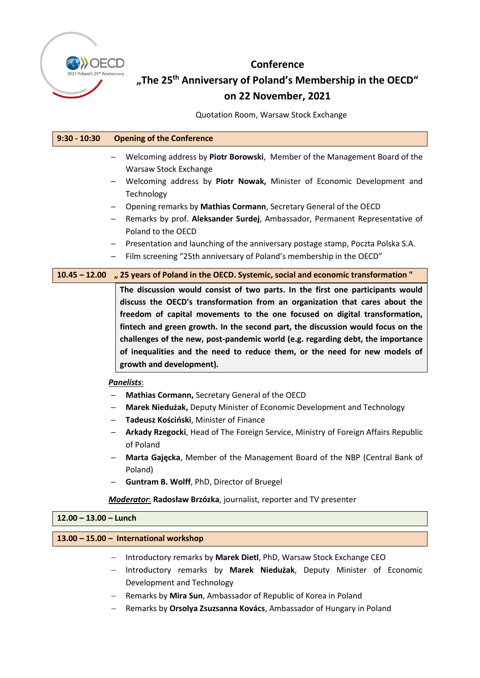

# **Conference**

# **"The 25th Anniversary of Poland's Membership in the OECD" on 22 November, 2021**

Quotation Room, Warsaw Stock Exchange

| $9:30 - 10:30$                         | <b>Opening of the Conference</b>                                                                                                                                                                                                                                                                                                                                                                                                                                                                                            |
|----------------------------------------|-----------------------------------------------------------------------------------------------------------------------------------------------------------------------------------------------------------------------------------------------------------------------------------------------------------------------------------------------------------------------------------------------------------------------------------------------------------------------------------------------------------------------------|
|                                        | Welcoming address by Piotr Borowski, Member of the Management Board of the<br>Warsaw Stock Exchange                                                                                                                                                                                                                                                                                                                                                                                                                         |
|                                        | Welcoming address by Piotr Nowak, Minister of Economic Development and<br>Technology                                                                                                                                                                                                                                                                                                                                                                                                                                        |
|                                        | Opening remarks by Mathias Cormann, Secretary General of the OECD                                                                                                                                                                                                                                                                                                                                                                                                                                                           |
|                                        | Remarks by prof. Aleksander Surdej, Ambassador, Permanent Representative of<br>$\qquad \qquad -$<br>Poland to the OECD                                                                                                                                                                                                                                                                                                                                                                                                      |
|                                        | Presentation and launching of the anniversary postage stamp, Poczta Polska S.A.<br>$\qquad \qquad -$                                                                                                                                                                                                                                                                                                                                                                                                                        |
|                                        | Film screening "25th anniversary of Poland's membership in the OECD"                                                                                                                                                                                                                                                                                                                                                                                                                                                        |
| $10.45 - 12.00$                        | " 25 years of Poland in the OECD. Systemic, social and economic transformation "                                                                                                                                                                                                                                                                                                                                                                                                                                            |
|                                        | The discussion would consist of two parts. In the first one participants would<br>discuss the OECD's transformation from an organization that cares about the<br>freedom of capital movements to the one focused on digital transformation,<br>fintech and green growth. In the second part, the discussion would focus on the<br>challenges of the new, post-pandemic world (e.g. regarding debt, the importance<br>of inequalities and the need to reduce them, or the need for new models of<br>growth and development). |
| <b>Panelists:</b>                      |                                                                                                                                                                                                                                                                                                                                                                                                                                                                                                                             |
|                                        | Mathias Cormann, Secretary General of the OECD                                                                                                                                                                                                                                                                                                                                                                                                                                                                              |
|                                        | Marek Niedużak, Deputy Minister of Economic Development and Technology<br>$\qquad \qquad -$                                                                                                                                                                                                                                                                                                                                                                                                                                 |
|                                        | Tadeusz Kościński, Minister of Finance                                                                                                                                                                                                                                                                                                                                                                                                                                                                                      |
|                                        | Arkady Rzegocki, Head of The Foreign Service, Ministry of Foreign Affairs Republic<br>-<br>of Poland                                                                                                                                                                                                                                                                                                                                                                                                                        |
|                                        | Marta Gajęcka, Member of the Management Board of the NBP (Central Bank of<br>Poland)                                                                                                                                                                                                                                                                                                                                                                                                                                        |
|                                        | Guntram B. Wolff, PhD, Director of Bruegel                                                                                                                                                                                                                                                                                                                                                                                                                                                                                  |
|                                        | Moderator: Radosław Brzózka, journalist, reporter and TV presenter                                                                                                                                                                                                                                                                                                                                                                                                                                                          |
| $12.00 - 13.00 -$ Lunch                |                                                                                                                                                                                                                                                                                                                                                                                                                                                                                                                             |
| 13.00 - 15.00 - International workshop |                                                                                                                                                                                                                                                                                                                                                                                                                                                                                                                             |
|                                        | Introductory remarks by Marek Dietl, PhD, Warsaw Stock Exchange CEO                                                                                                                                                                                                                                                                                                                                                                                                                                                         |

- − Introductory remarks by **Marek Niedużak**, Deputy Minister of Economic Development and Technology
- − Remarks by **Mira Sun**, Ambassador of Republic of Korea in Poland
- − Remarks by **Orsolya Zsuzsanna Kovács**, Ambassador of Hungary in Poland